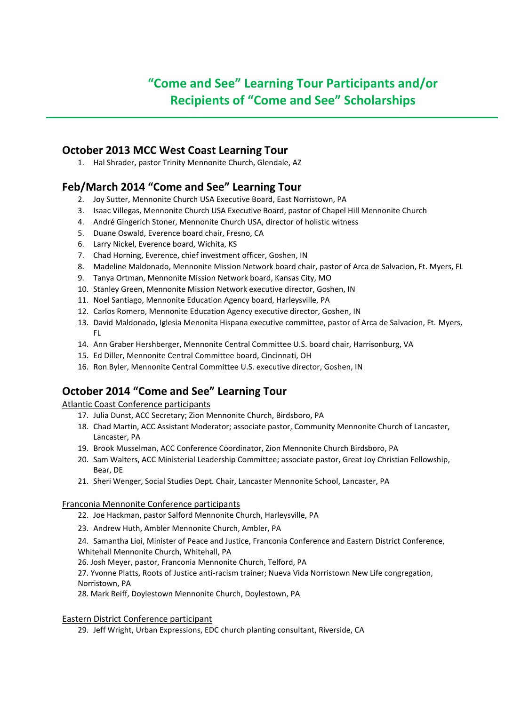# **"Come and See" Learning Tour Participants and/or Recipients of "Come and See" Scholarships**

### **October 2013 MCC West Coast Learning Tour**

1. Hal Shrader, pastor Trinity Mennonite Church, Glendale, AZ

### **Feb/March 2014 "Come and See" Learning Tour**

- 2. Joy Sutter, Mennonite Church USA Executive Board, East Norristown, PA
- 3. Isaac Villegas, Mennonite Church USA Executive Board, pastor of Chapel Hill Mennonite Church
- 4. André Gingerich Stoner, Mennonite Church USA, director of holistic witness
- 5. Duane Oswald, Everence board chair, Fresno, CA
- 6. Larry Nickel, Everence board, Wichita, KS
- 7. Chad Horning, Everence, chief investment officer, Goshen, IN
- 8. Madeline Maldonado, Mennonite Mission Network board chair, pastor of Arca de Salvacion, Ft. Myers, FL
- 9. Tanya Ortman, Mennonite Mission Network board, Kansas City, MO
- 10. Stanley Green, Mennonite Mission Network executive director, Goshen, IN
- 11. Noel Santiago, Mennonite Education Agency board, Harleysville, PA
- 12. Carlos Romero, Mennonite Education Agency executive director, Goshen, IN
- 13. David Maldonado, Iglesia Menonita Hispana executive committee, pastor of Arca de Salvacion, Ft. Myers, FL
- 14. Ann Graber Hershberger, Mennonite Central Committee U.S. board chair, Harrisonburg, VA
- 15. Ed Diller, Mennonite Central Committee board, Cincinnati, OH
- 16. Ron Byler, Mennonite Central Committee U.S. executive director, Goshen, IN

## **October 2014 "Come and See" Learning Tour**

### Atlantic Coast Conference participants

- 17. Julia Dunst, ACC Secretary; Zion Mennonite Church, Birdsboro, PA
- 18. Chad Martin, ACC Assistant Moderator; associate pastor, Community Mennonite Church of Lancaster, Lancaster, PA
- 19. Brook Musselman, ACC Conference Coordinator, Zion Mennonite Church Birdsboro, PA
- 20. Sam Walters, ACC Ministerial Leadership Committee; associate pastor, Great Joy Christian Fellowship, Bear, DE
- 21. Sheri Wenger, Social Studies Dept. Chair, Lancaster Mennonite School, Lancaster, PA

### Franconia Mennonite Conference participants

- 22. Joe Hackman, pastor Salford Mennonite Church, Harleysville, PA
- 23. Andrew Huth, Ambler Mennonite Church, Ambler, PA

24. Samantha Lioi, Minister of Peace and Justice, Franconia Conference and Eastern District Conference, Whitehall Mennonite Church, Whitehall, PA

26. Josh Meyer, pastor, Franconia Mennonite Church, Telford, PA

27. Yvonne Platts, Roots of Justice anti-racism trainer; Nueva Vida Norristown New Life congregation, Norristown, PA

28. Mark Reiff, Doylestown Mennonite Church, Doylestown, PA

### Eastern District Conference participant

29. Jeff Wright, Urban Expressions, EDC church planting consultant, Riverside, CA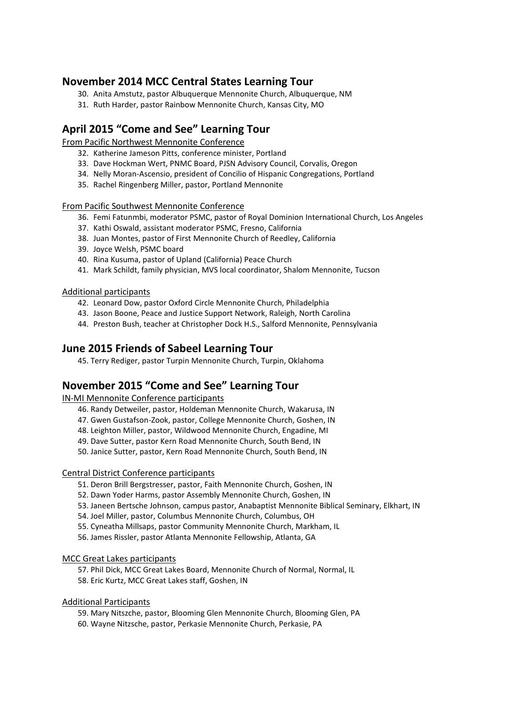### **November 2014 MCC Central States Learning Tour**

- 30. Anita Amstutz, pastor Albuquerque Mennonite Church, Albuquerque, NM
- 31. Ruth Harder, pastor Rainbow Mennonite Church, Kansas City, MO

### **April 2015 "Come and See" Learning Tour**

From Pacific Northwest Mennonite Conference

- 32. Katherine Jameson Pitts, conference minister, Portland
- 33. Dave Hockman Wert, PNMC Board, PJSN Advisory Council, Corvalis, Oregon
- 34. Nelly Moran-Ascensio, president of Concilio of Hispanic Congregations, Portland
- 35. Rachel Ringenberg Miller, pastor, Portland Mennonite

### From Pacific Southwest Mennonite Conference

- 36. Femi Fatunmbi, moderator PSMC, pastor of Royal Dominion International Church, Los Angeles
- 37. Kathi Oswald, assistant moderator PSMC, Fresno, California
- 38. Juan Montes, pastor of First Mennonite Church of Reedley, California
- 39. Joyce Welsh, PSMC board
- 40. Rina Kusuma, pastor of Upland (California) Peace Church
- 41. Mark Schildt, family physician, MVS local coordinator, Shalom Mennonite, Tucson

### Additional participants

- 42. Leonard Dow, pastor Oxford Circle Mennonite Church, Philadelphia
- 43. Jason Boone, Peace and Justice Support Network, Raleigh, North Carolina
- 44. Preston Bush, teacher at Christopher Dock H.S., Salford Mennonite, Pennsylvania

### **June 2015 Friends of Sabeel Learning Tour**

45. Terry Rediger, pastor Turpin Mennonite Church, Turpin, Oklahoma

## **November 2015 "Come and See" Learning Tour**

IN-MI Mennonite Conference participants

- 46. Randy Detweiler, pastor, Holdeman Mennonite Church, Wakarusa, IN
- 47. Gwen Gustafson-Zook, pastor, College Mennonite Church, Goshen, IN
- 48. Leighton Miller, pastor, Wildwood Mennonite Church, Engadine, MI
- 49. Dave Sutter, pastor Kern Road Mennonite Church, South Bend, IN
- 50. Janice Sutter, pastor, Kern Road Mennonite Church, South Bend, IN

### Central District Conference participants

- 51. Deron Brill Bergstresser, pastor, Faith Mennonite Church, Goshen, IN
- 52. Dawn Yoder Harms, pastor Assembly Mennonite Church, Goshen, IN
- 53. Janeen Bertsche Johnson, campus pastor, Anabaptist Mennonite Biblical Seminary, Elkhart, IN
- 54. Joel Miller, pastor, Columbus Mennonite Church, Columbus, OH
- 55. Cyneatha Millsaps, pastor Community Mennonite Church, Markham, IL
- 56. James Rissler, pastor Atlanta Mennonite Fellowship, Atlanta, GA

### MCC Great Lakes participants

- 57. Phil Dick, MCC Great Lakes Board, Mennonite Church of Normal, Normal, IL
- 58. Eric Kurtz, MCC Great Lakes staff, Goshen, IN

### Additional Participants

- 59. Mary Nitszche, pastor, Blooming Glen Mennonite Church, Blooming Glen, PA
- 60. Wayne Nitzsche, pastor, Perkasie Mennonite Church, Perkasie, PA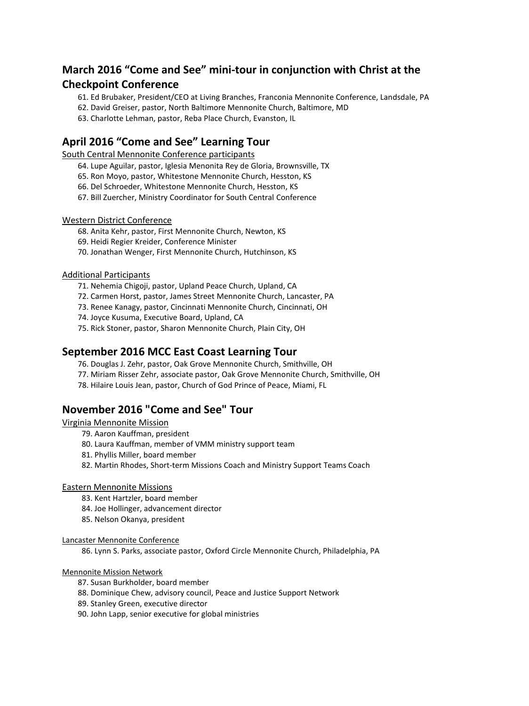## **March 2016 "Come and See" mini-tour in conjunction with Christ at the Checkpoint Conference**

- 61. Ed Brubaker, President/CEO at Living Branches, Franconia Mennonite Conference, Landsdale, PA
- 62. David Greiser, pastor, North Baltimore Mennonite Church, Baltimore, MD
- 63. Charlotte Lehman, pastor, Reba Place Church, Evanston, IL

## **April 2016 "Come and See" Learning Tour**

South Central Mennonite Conference participants

- 64. Lupe Aguilar, pastor, Iglesia Menonita Rey de Gloria, Brownsville, TX
- 65. Ron Moyo, pastor, Whitestone Mennonite Church, Hesston, KS
- 66. Del Schroeder, Whitestone Mennonite Church, Hesston, KS
- 67. Bill Zuercher, Ministry Coordinator for South Central Conference

### Western District Conference

- 68. Anita Kehr, pastor, First Mennonite Church, Newton, KS
- 69. Heidi Regier Kreider, Conference Minister
- 70. Jonathan Wenger, First Mennonite Church, Hutchinson, KS

### Additional Participants

- 71. Nehemia Chigoji, pastor, Upland Peace Church, Upland, CA
- 72. Carmen Horst, pastor, James Street Mennonite Church, Lancaster, PA
- 73. Renee Kanagy, pastor, Cincinnati Mennonite Church, Cincinnati, OH
- 74. Joyce Kusuma, Executive Board, Upland, CA
- 75. Rick Stoner, pastor, Sharon Mennonite Church, Plain City, OH

### **September 2016 MCC East Coast Learning Tour**

- 76. Douglas J. Zehr, pastor, Oak Grove Mennonite Church, Smithville, OH
- 77. Miriam Risser Zehr, associate pastor, Oak Grove Mennonite Church, Smithville, OH
- 78. Hilaire Louis Jean, pastor, Church of God Prince of Peace, Miami, FL

## **November 2016 "Come and See" Tour**

### Virginia Mennonite Mission

- 79. Aaron Kauffman, president
- 80. Laura Kauffman, member of VMM ministry support team
- 81. Phyllis Miller, board member
- 82. Martin Rhodes, Short-term Missions Coach and Ministry Support Teams Coach

### Eastern Mennonite Missions

- 83. Kent Hartzler, board member
- 84. Joe Hollinger, advancement director
- 85. Nelson Okanya, president

### Lancaster Mennonite Conference

86. Lynn S. Parks, associate pastor, Oxford Circle Mennonite Church, Philadelphia, PA

### Mennonite Mission Network

- 87. Susan Burkholder, board member
- 88. Dominique Chew, advisory council, Peace and Justice Support Network
- 89. Stanley Green, executive director
- 90. John Lapp, senior executive for global ministries